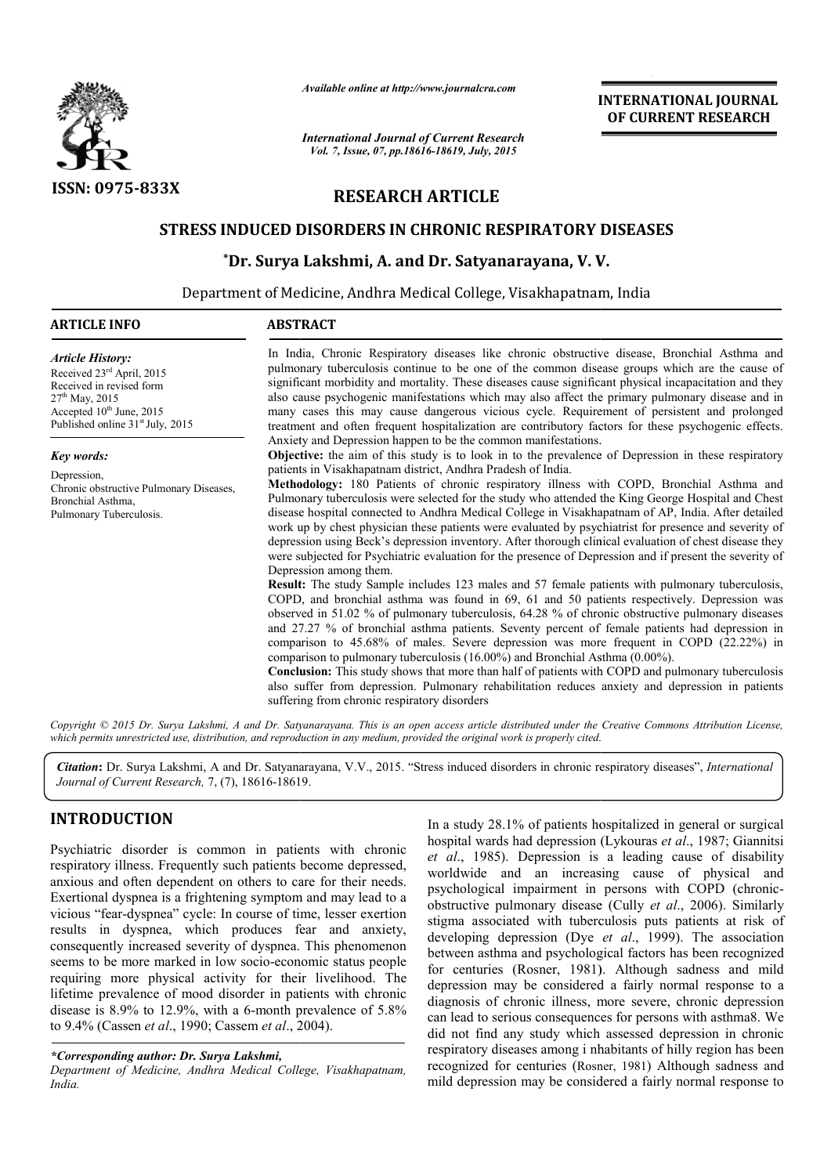

*Available online at http://www.journalcra.com*

## **RESEARCH ARTICLE**

#### **STRESS INDUCED DISORDERS IN CHRONIC RESPIRATORY DISEASES**

### **\*Dr. Surya Lakshmi Lakshmi, A. and Dr. Satyanarayana, V. V. V.**

|                                                                                                                                                                                                                                                                                                                                                                                                                                                                                                                                                                                                                                                                                                                                                                                                                                                                                                                              | unuvic viime ui nup.//www.jvurnuicru.com<br><b>International Journal of Current Research</b>                                                                                                                                                                                            |  | <b>INTERNATIONAL JOURNAL</b><br>OF CURRENT RESEARCH                                                                                                                                                                                                                                                                                                                                                                                                                                                                                                                                                                                                                                                                                                                                                                                                                                                                                                                                                                                                                                                                                                                                                                                                                                                                                                                                                                                                  |  |
|------------------------------------------------------------------------------------------------------------------------------------------------------------------------------------------------------------------------------------------------------------------------------------------------------------------------------------------------------------------------------------------------------------------------------------------------------------------------------------------------------------------------------------------------------------------------------------------------------------------------------------------------------------------------------------------------------------------------------------------------------------------------------------------------------------------------------------------------------------------------------------------------------------------------------|-----------------------------------------------------------------------------------------------------------------------------------------------------------------------------------------------------------------------------------------------------------------------------------------|--|------------------------------------------------------------------------------------------------------------------------------------------------------------------------------------------------------------------------------------------------------------------------------------------------------------------------------------------------------------------------------------------------------------------------------------------------------------------------------------------------------------------------------------------------------------------------------------------------------------------------------------------------------------------------------------------------------------------------------------------------------------------------------------------------------------------------------------------------------------------------------------------------------------------------------------------------------------------------------------------------------------------------------------------------------------------------------------------------------------------------------------------------------------------------------------------------------------------------------------------------------------------------------------------------------------------------------------------------------------------------------------------------------------------------------------------------------|--|
|                                                                                                                                                                                                                                                                                                                                                                                                                                                                                                                                                                                                                                                                                                                                                                                                                                                                                                                              | Vol. 7, Issue, 07, pp.18616-18619, July, 2015                                                                                                                                                                                                                                           |  |                                                                                                                                                                                                                                                                                                                                                                                                                                                                                                                                                                                                                                                                                                                                                                                                                                                                                                                                                                                                                                                                                                                                                                                                                                                                                                                                                                                                                                                      |  |
| <b>ISSN: 0975-833X</b>                                                                                                                                                                                                                                                                                                                                                                                                                                                                                                                                                                                                                                                                                                                                                                                                                                                                                                       | <b>RESEARCH ARTICLE</b>                                                                                                                                                                                                                                                                 |  |                                                                                                                                                                                                                                                                                                                                                                                                                                                                                                                                                                                                                                                                                                                                                                                                                                                                                                                                                                                                                                                                                                                                                                                                                                                                                                                                                                                                                                                      |  |
|                                                                                                                                                                                                                                                                                                                                                                                                                                                                                                                                                                                                                                                                                                                                                                                                                                                                                                                              | <b>STRESS INDUCED DISORDERS IN CHRONIC RESPIRATORY DISEASES</b>                                                                                                                                                                                                                         |  |                                                                                                                                                                                                                                                                                                                                                                                                                                                                                                                                                                                                                                                                                                                                                                                                                                                                                                                                                                                                                                                                                                                                                                                                                                                                                                                                                                                                                                                      |  |
|                                                                                                                                                                                                                                                                                                                                                                                                                                                                                                                                                                                                                                                                                                                                                                                                                                                                                                                              | *Dr. Surya Lakshmi, A. and Dr. Satyanarayana, V. V.                                                                                                                                                                                                                                     |  |                                                                                                                                                                                                                                                                                                                                                                                                                                                                                                                                                                                                                                                                                                                                                                                                                                                                                                                                                                                                                                                                                                                                                                                                                                                                                                                                                                                                                                                      |  |
|                                                                                                                                                                                                                                                                                                                                                                                                                                                                                                                                                                                                                                                                                                                                                                                                                                                                                                                              | Department of Medicine, Andhra Medical College, Visakhapatnam, India                                                                                                                                                                                                                    |  |                                                                                                                                                                                                                                                                                                                                                                                                                                                                                                                                                                                                                                                                                                                                                                                                                                                                                                                                                                                                                                                                                                                                                                                                                                                                                                                                                                                                                                                      |  |
| <b>ARTICLE INFO</b>                                                                                                                                                                                                                                                                                                                                                                                                                                                                                                                                                                                                                                                                                                                                                                                                                                                                                                          | <b>ABSTRACT</b>                                                                                                                                                                                                                                                                         |  |                                                                                                                                                                                                                                                                                                                                                                                                                                                                                                                                                                                                                                                                                                                                                                                                                                                                                                                                                                                                                                                                                                                                                                                                                                                                                                                                                                                                                                                      |  |
| <b>Article History:</b><br>Received 23rd April, 2015<br>Received in revised form<br>$27th$ May, 2015<br>Accepted 10 <sup>th</sup> June, 2015<br>Published online 31 <sup>st</sup> July, 2015                                                                                                                                                                                                                                                                                                                                                                                                                                                                                                                                                                                                                                                                                                                                 |                                                                                                                                                                                                                                                                                         |  | In India, Chronic Respiratory diseases like chronic obstructive disease, Bronchial Asthma and<br>pulmonary tuberculosis continue to be one of the common disease groups which are the cause of<br>significant morbidity and mortality. These diseases cause significant physical incapacitation and they<br>also cause psychogenic manifestations which may also affect the primary pulmonary disease and in<br>many cases this may cause dangerous vicious cycle. Requirement of persistent and prolonged<br>treatment and often frequent hospitalization are contributory factors for these psychogenic effects.                                                                                                                                                                                                                                                                                                                                                                                                                                                                                                                                                                                                                                                                                                                                                                                                                                   |  |
| <b>Key words:</b><br>Depression,<br>Chronic obstructive Pulmonary Diseases,<br>Bronchial Asthma,<br>Pulmonary Tuberculosis.                                                                                                                                                                                                                                                                                                                                                                                                                                                                                                                                                                                                                                                                                                                                                                                                  | Anxiety and Depression happen to be the common manifestations.<br>patients in Visakhapatnam district, Andhra Pradesh of India.<br>Depression among them.<br>comparison to pulmonary tuberculosis (16.00%) and Bronchial Asthma (0.00%).<br>suffering from chronic respiratory disorders |  | Objective: the aim of this study is to look in to the prevalence of Depression in these respiratory<br>Methodology: 180 Patients of chronic respiratory illness with COPD, Bronchial Asthma and<br>Pulmonary tuberculosis were selected for the study who attended the King George Hospital and Chest<br>disease hospital connected to Andhra Medical College in Visakhapatnam of AP, India. After detailed<br>work up by chest physician these patients were evaluated by psychiatrist for presence and severity of<br>depression using Beck's depression inventory. After thorough clinical evaluation of chest disease they<br>were subjected for Psychiatric evaluation for the presence of Depression and if present the severity of<br>Result: The study Sample includes 123 males and 57 female patients with pulmonary tuberculosis,<br>COPD, and bronchial asthma was found in 69, 61 and 50 patients respectively. Depression was<br>observed in 51.02 % of pulmonary tuberculosis, 64.28 % of chronic obstructive pulmonary diseases<br>and 27.27 % of bronchial asthma patients. Seventy percent of female patients had depression in<br>comparison to 45.68% of males. Severe depression was more frequent in COPD (22.22%) in<br>Conclusion: This study shows that more than half of patients with COPD and pulmonary tuberculosis<br>also suffer from depression. Pulmonary rehabilitation reduces anxiety and depression in patients |  |
| which permits unrestricted use, distribution, and reproduction in any medium, provided the original work is properly cited.                                                                                                                                                                                                                                                                                                                                                                                                                                                                                                                                                                                                                                                                                                                                                                                                  |                                                                                                                                                                                                                                                                                         |  | Copyright © 2015 Dr. Surya Lakshmi, A and Dr. Satyanarayana. This is an open access article distributed under the Creative Commons Attribution License,                                                                                                                                                                                                                                                                                                                                                                                                                                                                                                                                                                                                                                                                                                                                                                                                                                                                                                                                                                                                                                                                                                                                                                                                                                                                                              |  |
| Journal of Current Research, 7, (7), 18616-18619.                                                                                                                                                                                                                                                                                                                                                                                                                                                                                                                                                                                                                                                                                                                                                                                                                                                                            |                                                                                                                                                                                                                                                                                         |  | Citation: Dr. Surya Lakshmi, A and Dr. Satyanarayana, V.V., 2015. "Stress induced disorders in chronic respiratory diseases", International                                                                                                                                                                                                                                                                                                                                                                                                                                                                                                                                                                                                                                                                                                                                                                                                                                                                                                                                                                                                                                                                                                                                                                                                                                                                                                          |  |
| <b>INTRODUCTION</b><br>Psychiatric disorder is common in patients with chronic<br>respiratory illness. Frequently such patients become depressed,<br>anxious and often dependent on others to care for their needs.<br>Exertional dyspnea is a frightening symptom and may lead to a<br>vicious "fear-dyspnea" cycle: In course of time, lesser exertion<br>results in dyspnea, which produces fear and anxiety,<br>consequently increased severity of dyspnea. This phenomenon<br>seems to be more marked in low socio-economic status people<br>requiring more physical activity for their livelihood. The<br>lifetime prevalence of mood disorder in patients with chronic<br>disease is 8.9% to 12.9%, with a 6-month prevalence of 5.8%<br>to 9.4% (Cassen et al., 1990; Cassem et al., 2004).<br>*Corresponding author: Dr. Surya Lakshmi,<br>Department of Medicine, Andhra Medical College, Visakhapatnam,<br>India. |                                                                                                                                                                                                                                                                                         |  | In a study 28.1% of patients hospitalized in general or surgical<br>hospital wards had depression (Lykouras et al., 1987; Giannitsi<br>et al., 1985). Depression is a leading cause of disability<br>worldwide and an increasing cause of physical and<br>psychological impairment in persons with COPD (chronic-<br>obstructive pulmonary disease (Cully et al., 2006). Similarly<br>stigma associated with tuberculosis puts patients at risk of<br>developing depression (Dye et al., 1999). The association<br>between asthma and psychological factors has been recognized<br>for centuries (Rosner, 1981). Although sadness and mild<br>depression may be considered a fairly normal response to a<br>diagnosis of chronic illness, more severe, chronic depression<br>can lead to serious consequences for persons with asthma8. We<br>did not find any study which assessed depression in chronic<br>respiratory diseases among i nhabitants of hilly region has been<br>recognized for centuries (Rosner, 1981) Although sadness and<br>mild depression may be considered a fairly normal response to                                                                                                                                                                                                                                                                                                                                       |  |

### **INTRODUCTION**

#### *\*Corresponding author: Dr. Surya Lakshmi,*

*Department of Medicine, Andhra Medical College, Visakhapatnam, India.*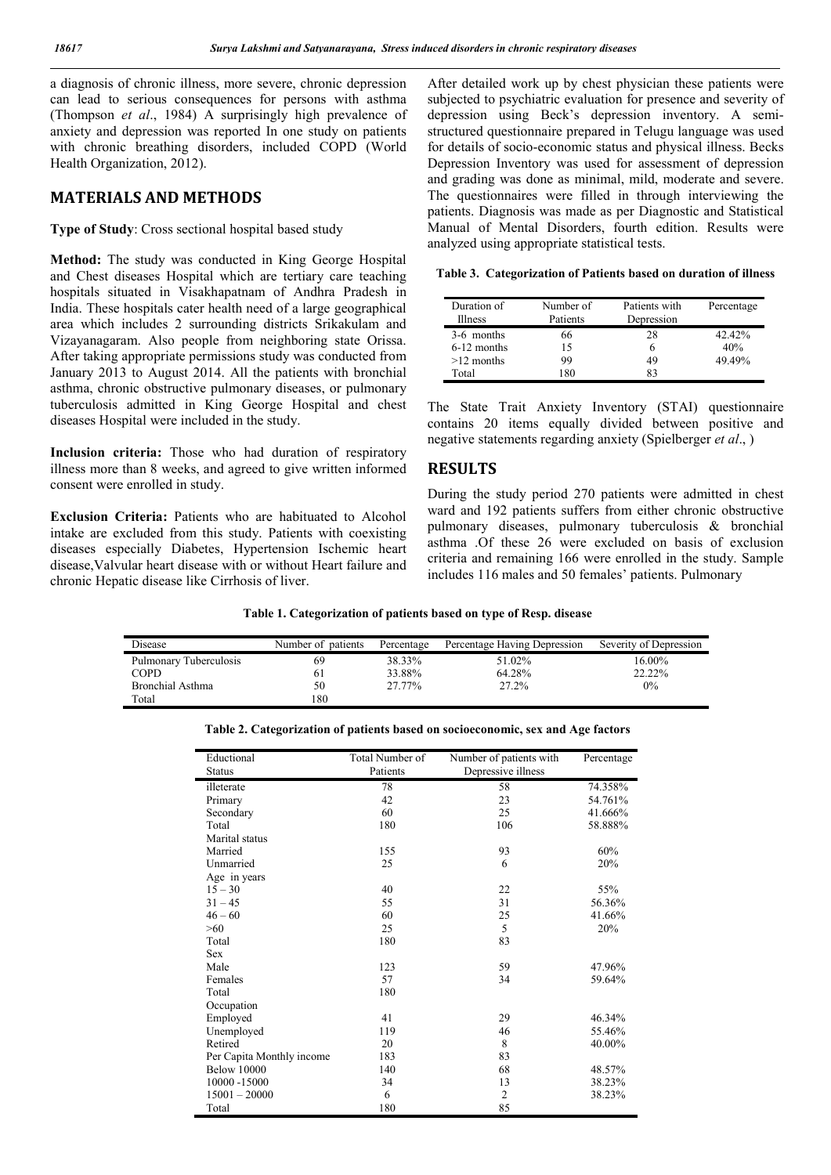a diagnosis of chronic illness, more severe, chronic depression can lead to serious consequences for persons with asthma (Thompson *et al*., 1984) A surprisingly high prevalence of anxiety and depression was reported In one study on patients with chronic breathing disorders, included COPD (World Health Organization, 2012).

#### **MATERIALS AND METHODS**

**Type of Study**: Cross sectional hospital based study

**Method:** The study was conducted in King George Hospital and Chest diseases Hospital which are tertiary care teaching hospitals situated in Visakhapatnam of Andhra Pradesh in India. These hospitals cater health need of a large geographical area which includes 2 surrounding districts Srikakulam and Vizayanagaram. Also people from neighboring state Orissa. After taking appropriate permissions study was conducted from January 2013 to August 2014. All the patients with bronchial asthma, chronic obstructive pulmonary diseases, or pulmonary tuberculosis admitted in King George Hospital and chest diseases Hospital were included in the study.

**Inclusion criteria:** Those who had duration of respiratory illness more than 8 weeks, and agreed to give written informed consent were enrolled in study.

**Exclusion Criteria:** Patients who are habituated to Alcohol intake are excluded from this study. Patients with coexisting diseases especially Diabetes, Hypertension Ischemic heart disease,Valvular heart disease with or without Heart failure and chronic Hepatic disease like Cirrhosis of liver.

After detailed work up by chest physician these patients were subjected to psychiatric evaluation for presence and severity of depression using Beck's depression inventory. A semistructured questionnaire prepared in Telugu language was used for details of socio-economic status and physical illness. Becks Depression Inventory was used for assessment of depression and grading was done as minimal, mild, moderate and severe. The questionnaires were filled in through interviewing the patients. Diagnosis was made as per Diagnostic and Statistical Manual of Mental Disorders, fourth edition. Results were analyzed using appropriate statistical tests.

| Duration of<br><b>Illness</b> | Number of<br>Patients | Patients with<br>Depression | Percentage |
|-------------------------------|-----------------------|-----------------------------|------------|
| 3-6 months                    | 66                    | 28                          | 42.42%     |
| $6-12$ months                 | 15                    | 6                           | 40%        |
| $>12$ months                  | 99                    | 49                          | 49.49%     |
| Total                         | 180                   | 83                          |            |

**Table 3. Categorization of Patients based on duration of illness**

The State Trait Anxiety Inventory (STAI) questionnaire contains 20 items equally divided between positive and negative statements regarding anxiety (Spielberger *et al*., )

#### **RESULTS**

During the study period 270 patients were admitted in chest ward and 192 patients suffers from either chronic obstructive pulmonary diseases, pulmonary tuberculosis & bronchial asthma .Of these 26 were excluded on basis of exclusion criteria and remaining 166 were enrolled in the study. Sample includes 116 males and 50 females' patients. Pulmonary

**Table 1. Categorization of patients based on type of Resp. disease**

| Disease                | Number of patients | Percentage | Percentage Having Depression | Severity of Depression |
|------------------------|--------------------|------------|------------------------------|------------------------|
| Pulmonary Tuberculosis | 69                 | 38.33%     | 51.02%                       | 16.00%                 |
| <b>COPD</b>            | 61                 | 33.88%     | 64.28%                       | 22.22%                 |
| Bronchial Asthma       | 50                 | 27.77%     | 27.2%                        | $0\%$                  |
| Total                  | 180                |            |                              |                        |

| Eductional                | Total Number of | Number of patients with | Percentage |
|---------------------------|-----------------|-------------------------|------------|
| <b>Status</b>             | Patients        | Depressive illness      |            |
| illeterate                | 78              | 58                      | 74.358%    |
| Primary                   | 42              | 23                      | 54.761%    |
| Secondary                 | 60              | 25                      | 41.666%    |
| Total                     | 180             | 106                     | 58.888%    |
| Marital status            |                 |                         |            |
| Married                   | 155             | 93                      | 60%        |
| Unmarried                 | 25              | 6                       | 20%        |
| Age in years              |                 |                         |            |
| $15 - 30$                 | 40              | 22                      | 55%        |
| $31 - 45$                 | 55              | 31                      | 56.36%     |
| $46 - 60$                 | 60              | 25                      | 41.66%     |
| >60                       | 25              | 5                       | 20%        |
| Total                     | 180             | 83                      |            |
| <b>Sex</b>                |                 |                         |            |
| Male                      | 123             | 59                      | 47.96%     |
| Females                   | 57              | 34                      | 59.64%     |
| Total                     | 180             |                         |            |
| Occupation                |                 |                         |            |
| Employed                  | 41              | 29                      | 46.34%     |
| Unemployed                | 119             | 46                      | 55.46%     |
| Retired                   | 20              | 8                       | 40.00%     |
| Per Capita Monthly income | 183             | 83                      |            |
| <b>Below 10000</b>        | 140             | 68                      | 48.57%     |
| 10000 -15000              | 34              | 13                      | 38.23%     |
| $15001 - 20000$           | 6               | $\overline{2}$          | 38.23%     |
| Total                     | 180             | 85                      |            |

**Table 2. Categorization of patients based on socioeconomic, sex and Age factors**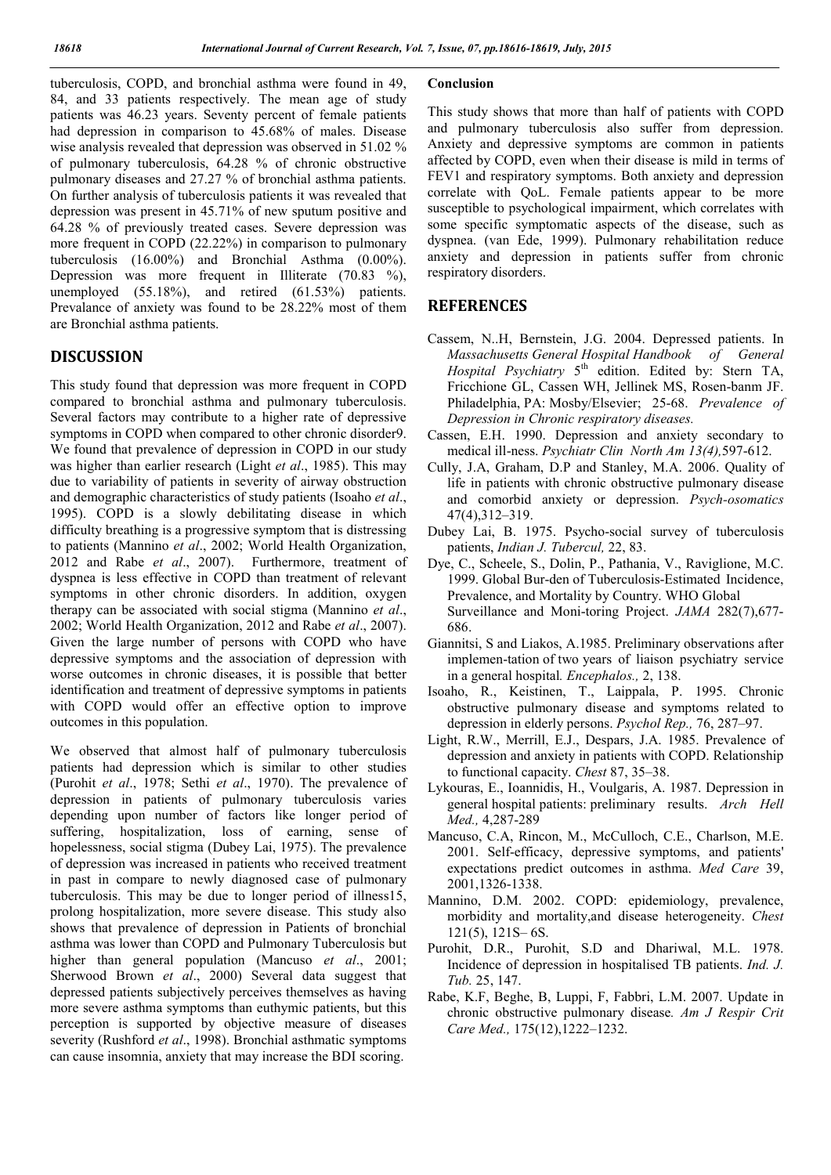tuberculosis, COPD, and bronchial asthma were found in 49, 84, and 33 patients respectively. The mean age of study patients was 46.23 years. Seventy percent of female patients had depression in comparison to 45.68% of males. Disease wise analysis revealed that depression was observed in 51.02 % of pulmonary tuberculosis, 64.28 % of chronic obstructive pulmonary diseases and 27.27 % of bronchial asthma patients. On further analysis of tuberculosis patients it was revealed that depression was present in 45.71% of new sputum positive and 64.28 % of previously treated cases. Severe depression was more frequent in COPD (22.22%) in comparison to pulmonary tuberculosis (16.00%) and Bronchial Asthma (0.00%). Depression was more frequent in Illiterate (70.83 %), unemployed (55.18%), and retired (61.53%) patients. Prevalance of anxiety was found to be 28.22% most of them are Bronchial asthma patients.

# **DISCUSSION**

This study found that depression was more frequent in COPD compared to bronchial asthma and pulmonary tuberculosis. Several factors may contribute to a higher rate of depressive symptoms in COPD when compared to other chronic disorder9. We found that prevalence of depression in COPD in our study was higher than earlier research (Light *et al*., 1985). This may due to variability of patients in severity of airway obstruction and demographic characteristics of study patients (Isoaho *et al*., 1995). COPD is a slowly debilitating disease in which difficulty breathing is a progressive symptom that is distressing to patients (Mannino *et al*., 2002; World Health Organization, 2012 and Rabe *et al*., 2007). Furthermore, treatment of dyspnea is less effective in COPD than treatment of relevant symptoms in other chronic disorders. In addition, oxygen therapy can be associated with social stigma (Mannino *et al*., 2002; World Health Organization, 2012 and Rabe *et al*., 2007). Given the large number of persons with COPD who have depressive symptoms and the association of depression with worse outcomes in chronic diseases, it is possible that better identification and treatment of depressive symptoms in patients with COPD would offer an effective option to improve outcomes in this population.

We observed that almost half of pulmonary tuberculosis patients had depression which is similar to other studies (Purohit *et al*., 1978; Sethi *et al*., 1970). The prevalence of depression in patients of pulmonary tuberculosis varies depending upon number of factors like longer period of suffering, hospitalization, loss of earning, sense of hopelessness, social stigma (Dubey Lai, 1975). The prevalence of depression was increased in patients who received treatment in past in compare to newly diagnosed case of pulmonary tuberculosis. This may be due to longer period of illness15, prolong hospitalization, more severe disease. This study also shows that prevalence of depression in Patients of bronchial asthma was lower than COPD and Pulmonary Tuberculosis but higher than general population (Mancuso *et al*., 2001; Sherwood Brown *et al*., 2000) Several data suggest that depressed patients subjectively perceives themselves as having more severe asthma symptoms than euthymic patients, but this perception is supported by objective measure of diseases severity (Rushford *et al*., 1998). Bronchial asthmatic symptoms can cause insomnia, anxiety that may increase the BDI scoring.

#### **Conclusion**

This study shows that more than half of patients with COPD and pulmonary tuberculosis also suffer from depression. Anxiety and depressive symptoms are common in patients affected by COPD, even when their disease is mild in terms of FEV1 and respiratory symptoms. Both anxiety and depression correlate with QoL. Female patients appear to be more susceptible to psychological impairment, which correlates with some specific symptomatic aspects of the disease, such as dyspnea. (van Ede, 1999). Pulmonary rehabilitation reduce anxiety and depression in patients suffer from chronic respiratory disorders.

## **REFERENCES**

- Cassem, N..H, Bernstein, J.G. 2004. Depressed patients. In *Massachusetts General Hospital Handbook of General*  Hospital Psychiatry 5<sup>th</sup> edition. Edited by: Stern TA, Fricchione GL, Cassen WH, Jellinek MS, Rosen-banm JF. Philadelphia, PA: Mosby/Elsevier; 25-68. *Prevalence of Depression in Chronic respiratory diseases.*
- Cassen, E.H. 1990. Depression and anxiety secondary to medical ill-ness. *Psychiatr Clin North Am 13(4),*597-612.
- Cully, J.A, Graham, D.P and Stanley, M.A. 2006. Quality of life in patients with chronic obstructive pulmonary disease and comorbid anxiety or depression. *Psych-osomatics*  47(4),312–319.
- Dubey Lai, B. 1975. Psycho-social survey of tuberculosis patients, *Indian J. Tubercul,* 22, 83.
- Dye, C., Scheele, S., Dolin, P., Pathania, V., Raviglione, M.C. 1999. Global Bur-den of Tuberculosis-Estimated Incidence, Prevalence, and Mortality by Country. WHO Global Surveillance and Moni-toring Project. *JAMA* 282(7),677- 686.
- Giannitsi, S and Liakos, A.1985. Preliminary observations after implemen-tation of two years of liaison psychiatry service in a general hospital*. Encephalos.,* 2, 138.
- Isoaho, R., Keistinen, T., Laippala, P. 1995. Chronic obstructive pulmonary disease and symptoms related to depression in elderly persons. *Psychol Rep.,* 76, 287–97.
- Light, R.W., Merrill, E.J., Despars, J.A. 1985. Prevalence of depression and anxiety in patients with COPD. Relationship to functional capacity. *Chest* 87, 35–38.
- Lykouras, E., Ioannidis, H., Voulgaris, A. 1987. Depression in general hospital patients: preliminary results. *Arch Hell Med.,* 4,287-289
- Mancuso, C.A, Rincon, M., McCulloch, C.E., Charlson, M.E. 2001. Self-efficacy, depressive symptoms, and patients' expectations predict outcomes in asthma. *Med Care* 39, 2001,1326-1338.
- Mannino, D.M. 2002. COPD: epidemiology, prevalence, morbidity and mortality,and disease heterogeneity. *Chest*  121(5), 121S– 6S.
- Purohit, D.R., Purohit, S.D and Dhariwal, M.L. 1978. Incidence of depression in hospitalised TB patients. *Ind. J. Tub.* 25, 147.
- Rabe, K.F, Beghe, B, Luppi, F, Fabbri, L.M. 2007. Update in chronic obstructive pulmonary disease*. Am J Respir Crit Care Med.,* 175(12),1222–1232.